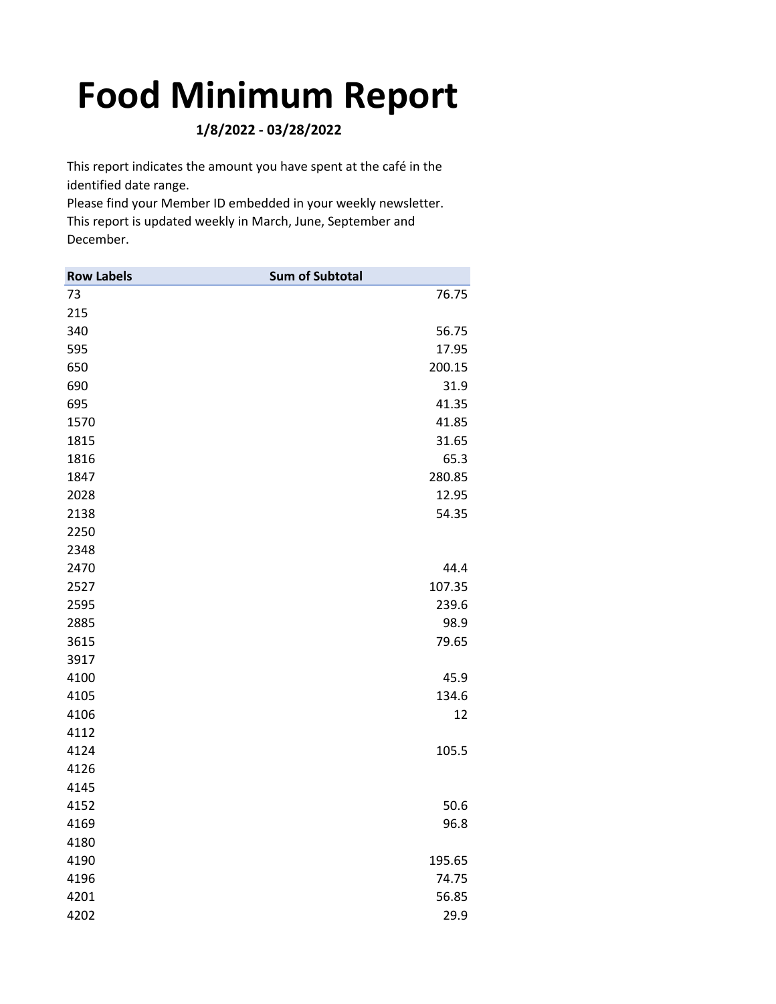## **Food Minimum Report**

**1/8/2022 ‐ 03/28/2022**

This report indicates the amount you have spent at the café in the identified date range.

Please find your Member ID embedded in your weekly newsletter. This report is updated weekly in March, June, September and December.

| <b>Row Labels</b> | <b>Sum of Subtotal</b> |
|-------------------|------------------------|
| 73                | 76.75                  |
| 215               |                        |
| 340               | 56.75                  |
| 595               | 17.95                  |
| 650               | 200.15                 |
| 690               | 31.9                   |
| 695               | 41.35                  |
| 1570              | 41.85                  |
| 1815              | 31.65                  |
| 1816              | 65.3                   |
| 1847              | 280.85                 |
| 2028              | 12.95                  |
| 2138              | 54.35                  |
| 2250              |                        |
| 2348              |                        |
| 2470              | 44.4                   |
| 2527              | 107.35                 |
| 2595              | 239.6                  |
| 2885              | 98.9                   |
| 3615              | 79.65                  |
| 3917              |                        |
| 4100              | 45.9                   |
| 4105              | 134.6                  |
| 4106              | 12                     |
| 4112              |                        |
| 4124              | 105.5                  |
| 4126              |                        |
| 4145              |                        |
| 4152              | 50.6                   |
| 4169              | 96.8                   |
| 4180              |                        |
| 4190              | 195.65                 |
| 4196              | 74.75                  |
| 4201              | 56.85                  |
| 4202              | 29.9                   |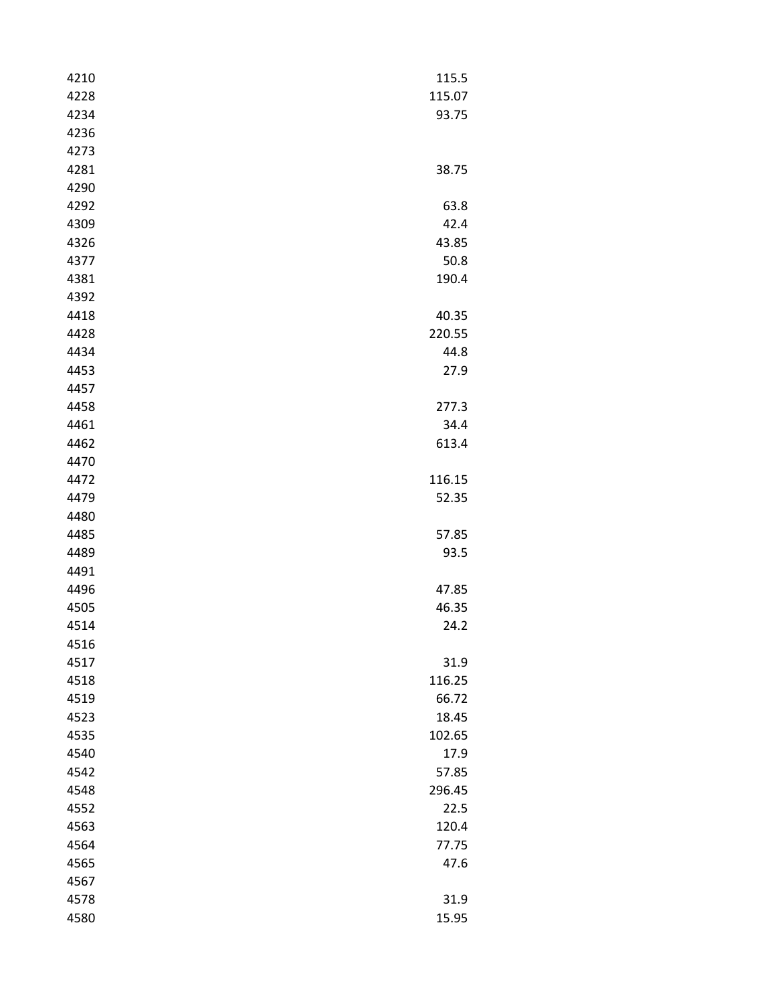| 4210 | 115.5  |
|------|--------|
| 4228 | 115.07 |
| 4234 | 93.75  |
| 4236 |        |
| 4273 |        |
| 4281 | 38.75  |
| 4290 |        |
| 4292 | 63.8   |
| 4309 | 42.4   |
| 4326 | 43.85  |
| 4377 | 50.8   |
| 4381 | 190.4  |
| 4392 |        |
| 4418 | 40.35  |
| 4428 | 220.55 |
| 4434 | 44.8   |
| 4453 | 27.9   |
| 4457 |        |
| 4458 | 277.3  |
| 4461 | 34.4   |
| 4462 | 613.4  |
| 4470 |        |
| 4472 | 116.15 |
| 4479 | 52.35  |
| 4480 |        |
| 4485 | 57.85  |
| 4489 | 93.5   |
| 4491 |        |
| 4496 | 47.85  |
| 4505 | 46.35  |
| 4514 | 24.2   |
| 4516 |        |
| 4517 | 31.9   |
| 4518 | 116.25 |
| 4519 | 66.72  |
| 4523 | 18.45  |
| 4535 | 102.65 |
| 4540 | 17.9   |
| 4542 | 57.85  |
| 4548 | 296.45 |
| 4552 | 22.5   |
| 4563 | 120.4  |
| 4564 | 77.75  |
| 4565 | 47.6   |
| 4567 |        |
| 4578 | 31.9   |
| 4580 | 15.95  |
|      |        |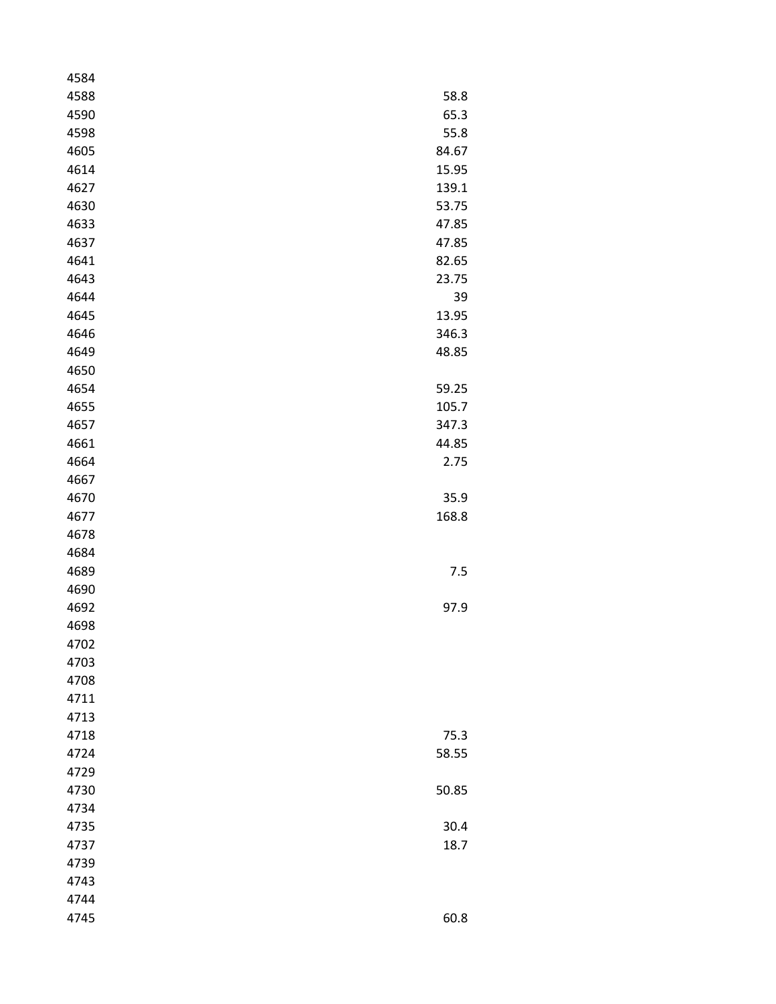| 4584 |       |
|------|-------|
| 4588 | 58.8  |
| 4590 | 65.3  |
| 4598 | 55.8  |
| 4605 | 84.67 |
| 4614 | 15.95 |
| 4627 | 139.1 |
| 4630 | 53.75 |
| 4633 | 47.85 |
| 4637 | 47.85 |
| 4641 | 82.65 |
| 4643 | 23.75 |
| 4644 | 39    |
| 4645 | 13.95 |
| 4646 | 346.3 |
| 4649 | 48.85 |
| 4650 |       |
| 4654 | 59.25 |
| 4655 | 105.7 |
| 4657 | 347.3 |
| 4661 | 44.85 |
| 4664 | 2.75  |
| 4667 |       |
| 4670 | 35.9  |
| 4677 | 168.8 |
| 4678 |       |
| 4684 |       |
| 4689 | 7.5   |
| 4690 |       |
| 4692 | 97.9  |
| 4698 |       |
| 4702 |       |
| 4703 |       |
| 4708 |       |
| 4711 |       |
| 4713 |       |
| 4718 | 75.3  |
| 4724 | 58.55 |
| 4729 |       |
| 4730 | 50.85 |
| 4734 |       |
| 4735 | 30.4  |
| 4737 | 18.7  |
| 4739 |       |
| 4743 |       |
| 4744 |       |
| 4745 | 60.8  |
|      |       |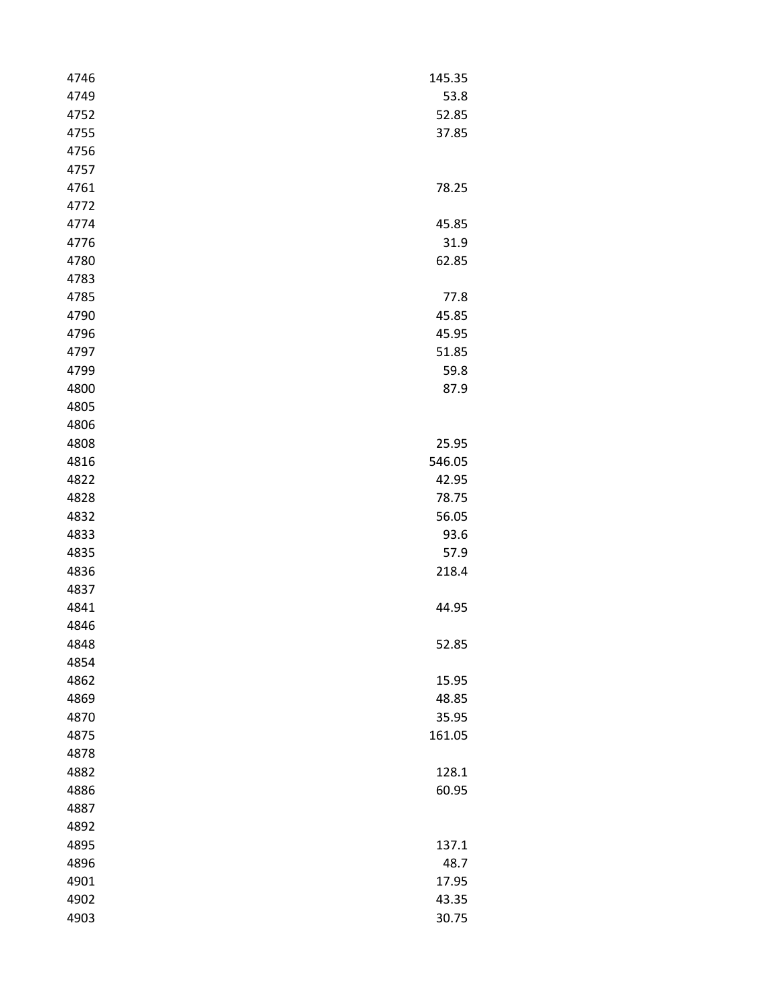| 4746 | 145.35 |
|------|--------|
| 4749 | 53.8   |
| 4752 | 52.85  |
| 4755 | 37.85  |
| 4756 |        |
| 4757 |        |
| 4761 | 78.25  |
| 4772 |        |
| 4774 | 45.85  |
| 4776 | 31.9   |
| 4780 | 62.85  |
| 4783 |        |
| 4785 | 77.8   |
| 4790 | 45.85  |
| 4796 | 45.95  |
| 4797 | 51.85  |
| 4799 | 59.8   |
| 4800 | 87.9   |
| 4805 |        |
| 4806 |        |
| 4808 | 25.95  |
| 4816 | 546.05 |
| 4822 | 42.95  |
| 4828 | 78.75  |
| 4832 | 56.05  |
| 4833 | 93.6   |
| 4835 | 57.9   |
| 4836 | 218.4  |
| 4837 |        |
| 4841 | 44.95  |
| 4846 |        |
| 4848 | 52.85  |
| 4854 |        |
| 4862 | 15.95  |
| 4869 | 48.85  |
| 4870 | 35.95  |
| 4875 | 161.05 |
| 4878 |        |
| 4882 | 128.1  |
| 4886 | 60.95  |
| 4887 |        |
| 4892 |        |
| 4895 | 137.1  |
| 4896 | 48.7   |
| 4901 | 17.95  |
| 4902 | 43.35  |
| 4903 | 30.75  |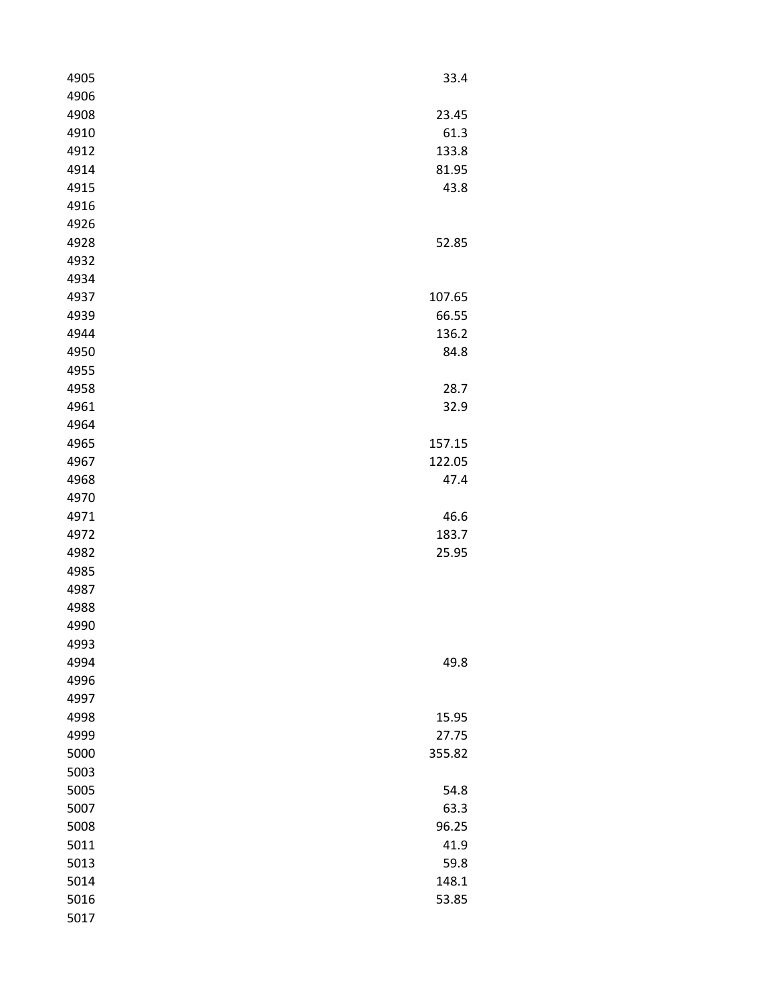| 4905 | 33.4   |
|------|--------|
| 4906 |        |
| 4908 | 23.45  |
| 4910 | 61.3   |
| 4912 | 133.8  |
| 4914 | 81.95  |
| 4915 | 43.8   |
| 4916 |        |
| 4926 |        |
| 4928 | 52.85  |
| 4932 |        |
| 4934 |        |
| 4937 | 107.65 |
| 4939 | 66.55  |
| 4944 | 136.2  |
| 4950 | 84.8   |
| 4955 |        |
| 4958 | 28.7   |
| 4961 | 32.9   |
| 4964 |        |
| 4965 | 157.15 |
| 4967 | 122.05 |
| 4968 | 47.4   |
| 4970 |        |
| 4971 | 46.6   |
| 4972 | 183.7  |
| 4982 | 25.95  |
| 4985 |        |
| 4987 |        |
| 4988 |        |
| 4990 |        |
| 4993 |        |
| 4994 | 49.8   |
| 4996 |        |
| 4997 |        |
| 4998 | 15.95  |
| 4999 | 27.75  |
| 5000 | 355.82 |
| 5003 |        |
| 5005 | 54.8   |
| 5007 | 63.3   |
| 5008 | 96.25  |
| 5011 | 41.9   |
| 5013 | 59.8   |
| 5014 | 148.1  |
| 5016 | 53.85  |
| 5017 |        |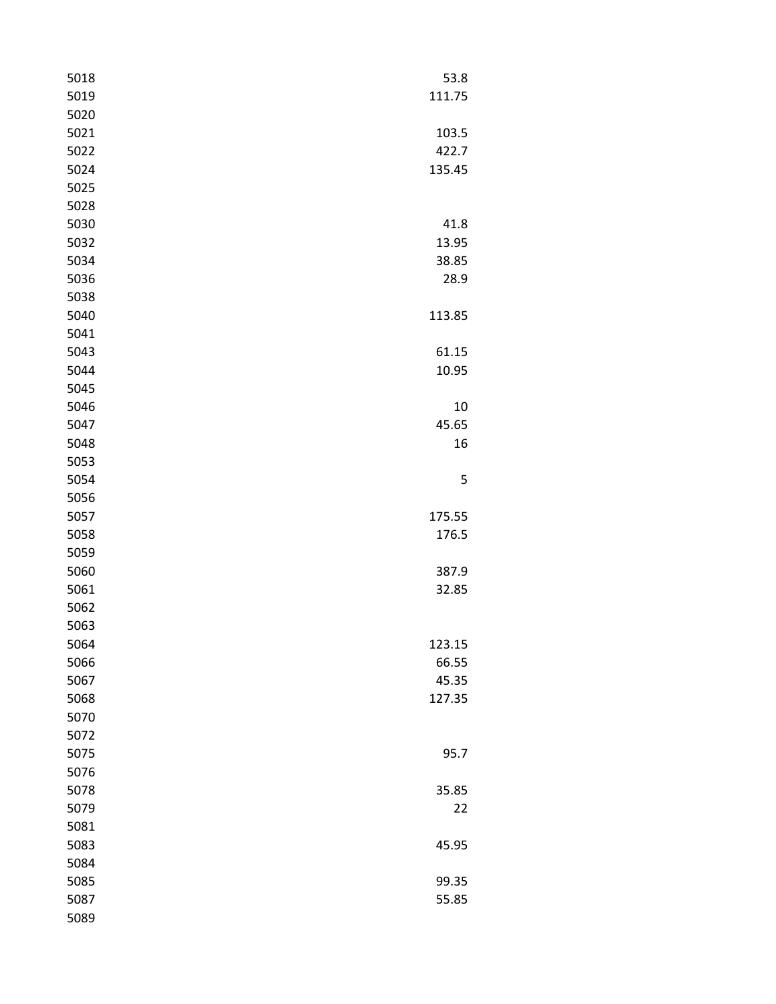| 5018 | 53.8   |
|------|--------|
| 5019 | 111.75 |
| 5020 |        |
| 5021 | 103.5  |
| 5022 | 422.7  |
| 5024 | 135.45 |
| 5025 |        |
| 5028 |        |
| 5030 | 41.8   |
| 5032 | 13.95  |
| 5034 | 38.85  |
| 5036 | 28.9   |
| 5038 |        |
| 5040 | 113.85 |
| 5041 |        |
| 5043 | 61.15  |
| 5044 | 10.95  |
| 5045 |        |
| 5046 | 10     |
| 5047 | 45.65  |
| 5048 | 16     |
| 5053 |        |
| 5054 | 5      |
| 5056 |        |
| 5057 | 175.55 |
| 5058 | 176.5  |
| 5059 |        |
| 5060 | 387.9  |
| 5061 | 32.85  |
| 5062 |        |
| 5063 |        |
| 5064 | 123.15 |
| 5066 | 66.55  |
| 5067 | 45.35  |
| 5068 | 127.35 |
| 5070 |        |
| 5072 |        |
| 5075 | 95.7   |
| 5076 |        |
| 5078 | 35.85  |
| 5079 | 22     |
| 5081 |        |
| 5083 | 45.95  |
| 5084 |        |
| 5085 | 99.35  |
| 5087 | 55.85  |
| 5089 |        |
|      |        |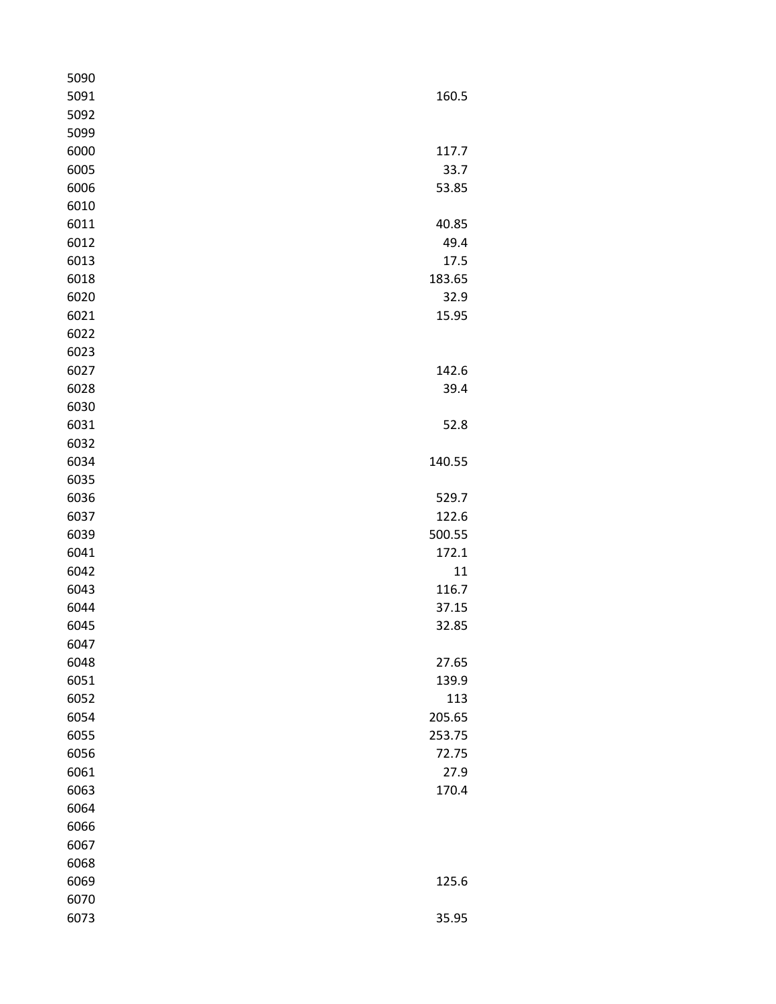| 5090 |        |
|------|--------|
| 5091 | 160.5  |
| 5092 |        |
| 5099 |        |
| 6000 | 117.7  |
| 6005 | 33.7   |
| 6006 | 53.85  |
| 6010 |        |
| 6011 | 40.85  |
| 6012 | 49.4   |
| 6013 | 17.5   |
| 6018 | 183.65 |
| 6020 | 32.9   |
| 6021 | 15.95  |
| 6022 |        |
| 6023 |        |
| 6027 | 142.6  |
| 6028 | 39.4   |
| 6030 |        |
| 6031 | 52.8   |
| 6032 |        |
| 6034 | 140.55 |
| 6035 |        |
| 6036 | 529.7  |
| 6037 | 122.6  |
| 6039 | 500.55 |
| 6041 | 172.1  |
| 6042 | 11     |
| 6043 | 116.7  |
| 6044 | 37.15  |
| 6045 | 32.85  |
| 6047 |        |
| 6048 | 27.65  |
| 6051 | 139.9  |
| 6052 | 113    |
| 6054 | 205.65 |
| 6055 | 253.75 |
| 6056 | 72.75  |
| 6061 | 27.9   |
| 6063 | 170.4  |
| 6064 |        |
| 6066 |        |
| 6067 |        |
| 6068 |        |
| 6069 | 125.6  |
| 6070 |        |
| 6073 | 35.95  |
|      |        |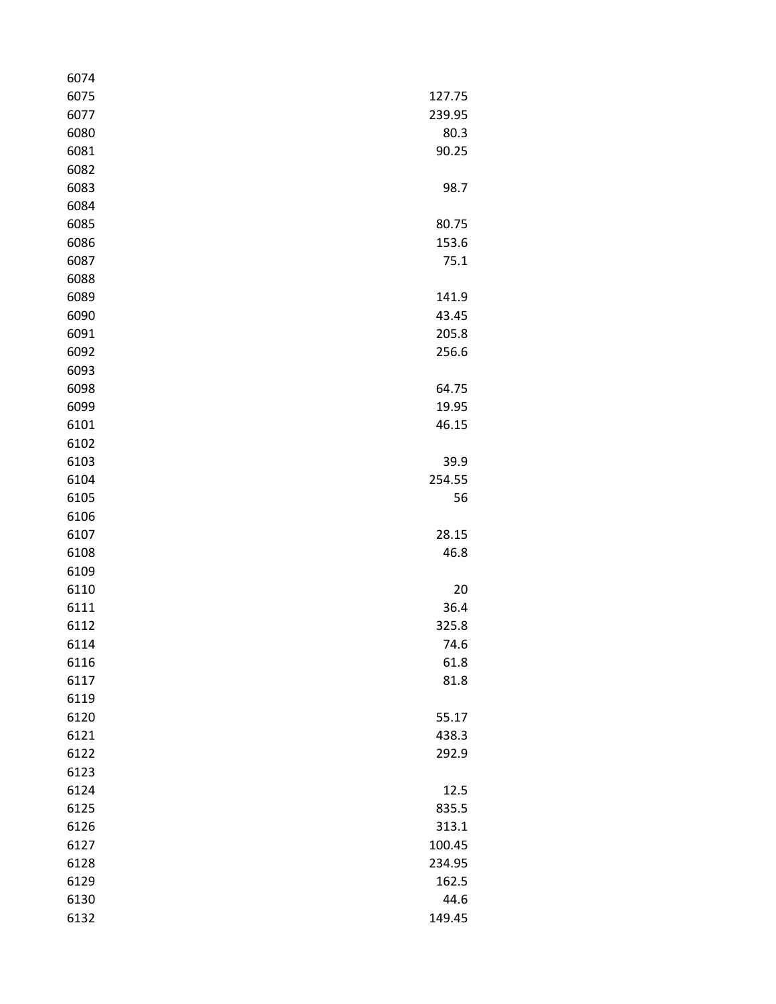| 6074 |        |
|------|--------|
| 6075 | 127.75 |
| 6077 | 239.95 |
| 6080 | 80.3   |
| 6081 | 90.25  |
| 6082 |        |
| 6083 | 98.7   |
| 6084 |        |
| 6085 | 80.75  |
| 6086 | 153.6  |
| 6087 | 75.1   |
| 6088 |        |
| 6089 | 141.9  |
| 6090 | 43.45  |
| 6091 | 205.8  |
| 6092 | 256.6  |
| 6093 |        |
| 6098 | 64.75  |
| 6099 | 19.95  |
| 6101 | 46.15  |
| 6102 |        |
| 6103 | 39.9   |
| 6104 | 254.55 |
| 6105 | 56     |
| 6106 |        |
| 6107 | 28.15  |
| 6108 | 46.8   |
| 6109 |        |
| 6110 | 20     |
| 6111 | 36.4   |
| 6112 | 325.8  |
| 6114 | 74.6   |
| 6116 | 61.8   |
| 6117 | 81.8   |
| 6119 |        |
| 6120 | 55.17  |
| 6121 | 438.3  |
| 6122 | 292.9  |
| 6123 |        |
| 6124 | 12.5   |
| 6125 | 835.5  |
| 6126 | 313.1  |
| 6127 | 100.45 |
| 6128 | 234.95 |
| 6129 | 162.5  |
| 6130 | 44.6   |
| 6132 | 149.45 |
|      |        |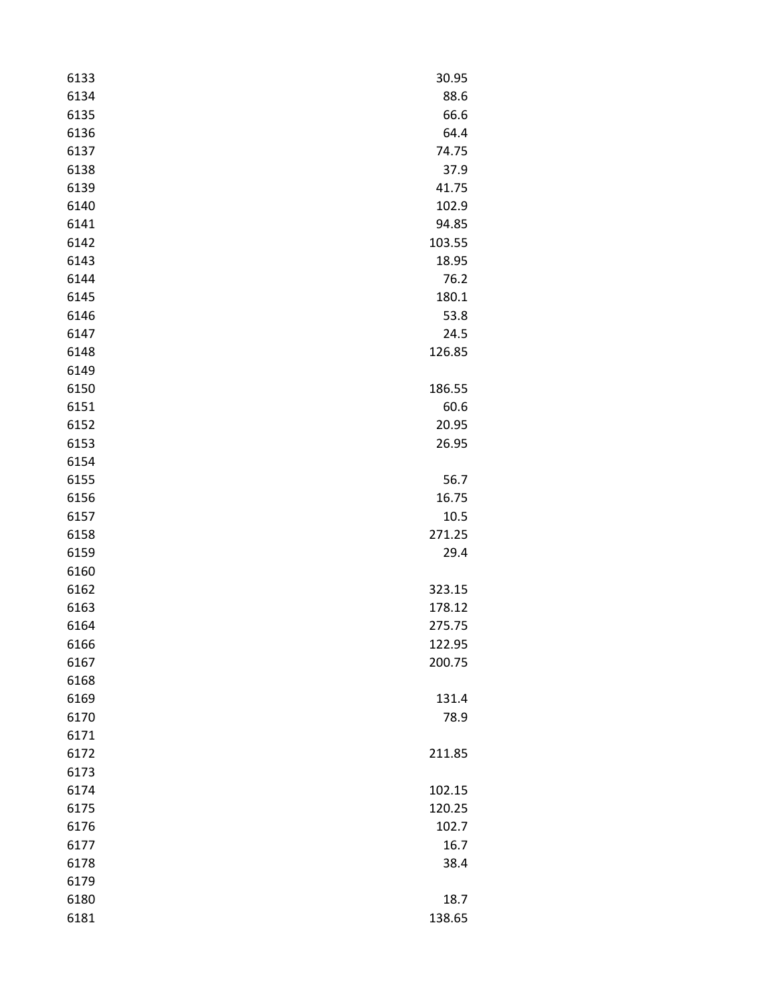| 6133 | 30.95  |
|------|--------|
| 6134 | 88.6   |
| 6135 | 66.6   |
| 6136 | 64.4   |
| 6137 | 74.75  |
| 6138 | 37.9   |
| 6139 | 41.75  |
| 6140 | 102.9  |
| 6141 | 94.85  |
| 6142 | 103.55 |
| 6143 | 18.95  |
| 6144 | 76.2   |
| 6145 | 180.1  |
| 6146 | 53.8   |
| 6147 | 24.5   |
| 6148 | 126.85 |
| 6149 |        |
| 6150 | 186.55 |
| 6151 | 60.6   |
| 6152 | 20.95  |
| 6153 | 26.95  |
| 6154 |        |
| 6155 | 56.7   |
| 6156 | 16.75  |
| 6157 | 10.5   |
| 6158 | 271.25 |
| 6159 | 29.4   |
| 6160 |        |
| 6162 | 323.15 |
| 6163 | 178.12 |
| 6164 | 275.75 |
| 6166 | 122.95 |
| 6167 | 200.75 |
| 6168 |        |
| 6169 | 131.4  |
| 6170 | 78.9   |
| 6171 |        |
| 6172 | 211.85 |
| 6173 |        |
| 6174 | 102.15 |
| 6175 | 120.25 |
| 6176 | 102.7  |
| 6177 | 16.7   |
| 6178 | 38.4   |
| 6179 |        |
| 6180 | 18.7   |
| 6181 | 138.65 |
|      |        |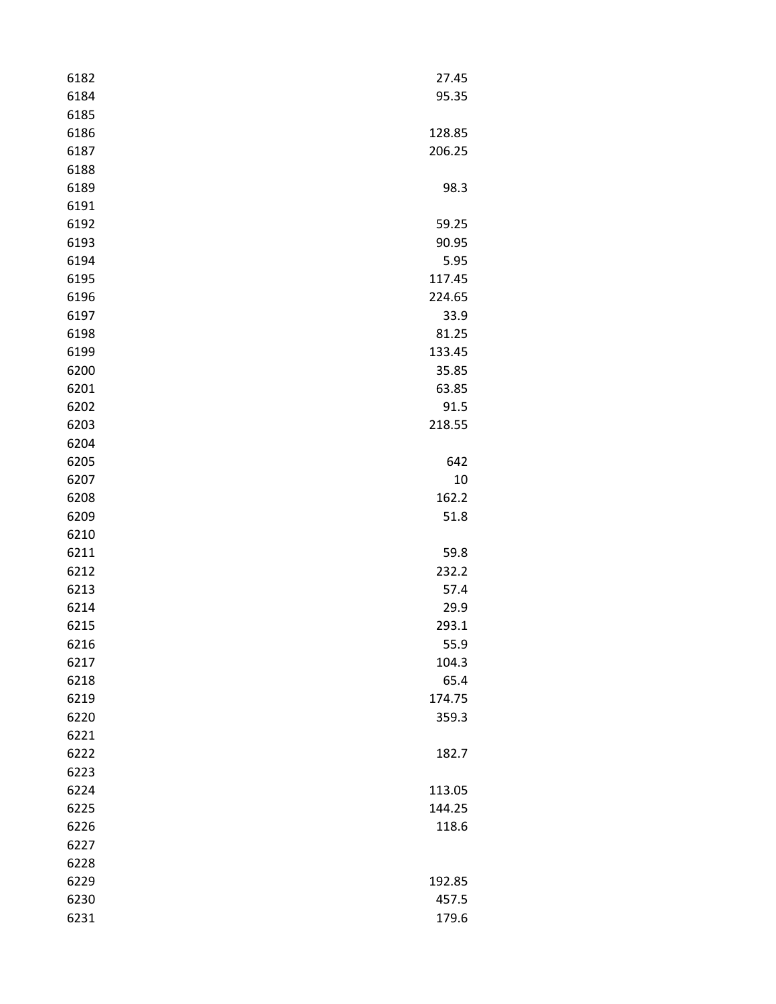| 95.35<br>128.85<br>206.25<br>98.3<br>59.25<br>90.95<br>5.95<br>117.45<br>224.65<br>33.9<br>81.25<br>133.45<br>35.85<br>63.85<br>91.5<br>218.55<br>642<br>10<br>162.2<br>51.8<br>59.8<br>232.2<br>57.4<br>29.9<br>293.1<br>55.9<br>104.3<br>65.4<br>174.75<br>359.3<br>182.7<br>113.05<br>144.25<br>118.6<br>192.85<br>457.5 | 6182 | 27.45 |
|-----------------------------------------------------------------------------------------------------------------------------------------------------------------------------------------------------------------------------------------------------------------------------------------------------------------------------|------|-------|
|                                                                                                                                                                                                                                                                                                                             | 6184 |       |
|                                                                                                                                                                                                                                                                                                                             | 6185 |       |
|                                                                                                                                                                                                                                                                                                                             | 6186 |       |
|                                                                                                                                                                                                                                                                                                                             | 6187 |       |
|                                                                                                                                                                                                                                                                                                                             | 6188 |       |
|                                                                                                                                                                                                                                                                                                                             | 6189 |       |
|                                                                                                                                                                                                                                                                                                                             | 6191 |       |
|                                                                                                                                                                                                                                                                                                                             | 6192 |       |
|                                                                                                                                                                                                                                                                                                                             | 6193 |       |
|                                                                                                                                                                                                                                                                                                                             | 6194 |       |
|                                                                                                                                                                                                                                                                                                                             | 6195 |       |
|                                                                                                                                                                                                                                                                                                                             | 6196 |       |
|                                                                                                                                                                                                                                                                                                                             | 6197 |       |
|                                                                                                                                                                                                                                                                                                                             | 6198 |       |
|                                                                                                                                                                                                                                                                                                                             | 6199 |       |
|                                                                                                                                                                                                                                                                                                                             | 6200 |       |
|                                                                                                                                                                                                                                                                                                                             | 6201 |       |
|                                                                                                                                                                                                                                                                                                                             | 6202 |       |
|                                                                                                                                                                                                                                                                                                                             | 6203 |       |
|                                                                                                                                                                                                                                                                                                                             | 6204 |       |
|                                                                                                                                                                                                                                                                                                                             | 6205 |       |
|                                                                                                                                                                                                                                                                                                                             | 6207 |       |
|                                                                                                                                                                                                                                                                                                                             | 6208 |       |
|                                                                                                                                                                                                                                                                                                                             | 6209 |       |
|                                                                                                                                                                                                                                                                                                                             | 6210 |       |
|                                                                                                                                                                                                                                                                                                                             | 6211 |       |
|                                                                                                                                                                                                                                                                                                                             | 6212 |       |
|                                                                                                                                                                                                                                                                                                                             | 6213 |       |
|                                                                                                                                                                                                                                                                                                                             | 6214 |       |
|                                                                                                                                                                                                                                                                                                                             | 6215 |       |
|                                                                                                                                                                                                                                                                                                                             | 6216 |       |
|                                                                                                                                                                                                                                                                                                                             | 6217 |       |
|                                                                                                                                                                                                                                                                                                                             | 6218 |       |
|                                                                                                                                                                                                                                                                                                                             | 6219 |       |
|                                                                                                                                                                                                                                                                                                                             | 6220 |       |
|                                                                                                                                                                                                                                                                                                                             | 6221 |       |
|                                                                                                                                                                                                                                                                                                                             | 6222 |       |
|                                                                                                                                                                                                                                                                                                                             | 6223 |       |
|                                                                                                                                                                                                                                                                                                                             | 6224 |       |
|                                                                                                                                                                                                                                                                                                                             | 6225 |       |
|                                                                                                                                                                                                                                                                                                                             | 6226 |       |
|                                                                                                                                                                                                                                                                                                                             | 6227 |       |
|                                                                                                                                                                                                                                                                                                                             | 6228 |       |
|                                                                                                                                                                                                                                                                                                                             | 6229 |       |
|                                                                                                                                                                                                                                                                                                                             | 6230 |       |
|                                                                                                                                                                                                                                                                                                                             | 6231 | 179.6 |